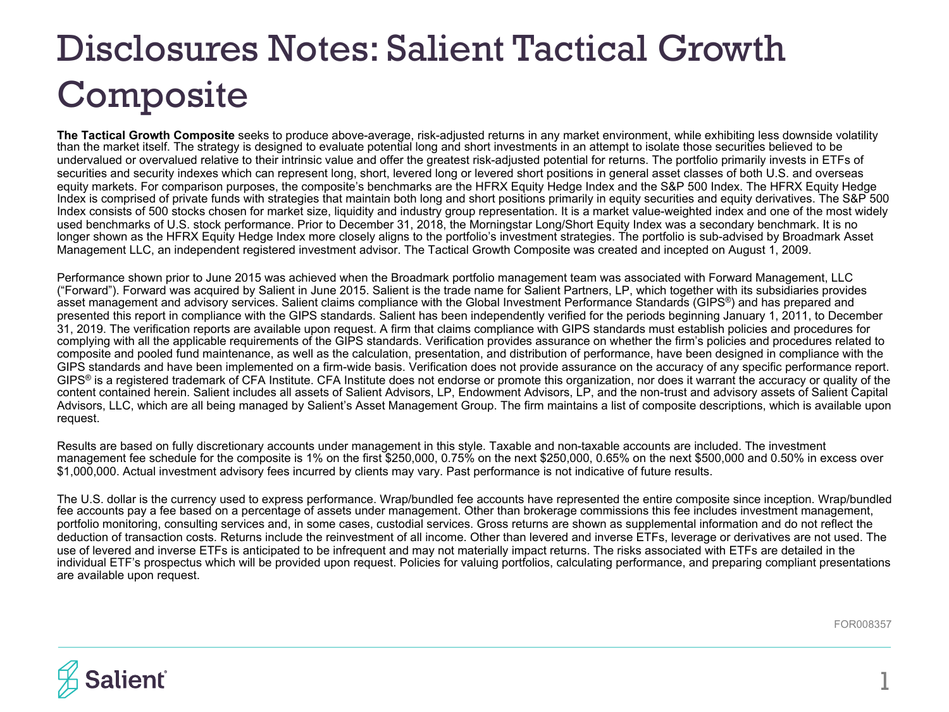# Disclosures Notes: Salient Tactical Growth Composite

**The Tactical Growth Composite** seeks to produce above-average, risk-adjusted returns in any market environment, while exhibiting less downside volatility than the market itself. The strategy is designed to evaluate potential long and short investments in an attempt to isolate those securities believed to be undervalued or overvalued relative to their intrinsic value and offer the greatest risk-adjusted potential for returns. The portfolio primarily invests in ETFs of securities and security indexes which can represent long, short, levered long or levered short positions in general asset classes of both U.S. and overseas equity markets. For comparison purposes, the composite's benchmarks are the HFRX Equity Hedge Index and the S&P 500 Index. The HFRX Equity Hedge Index is comprised of private funds with strategies that maintain both long and short positions primarily in equity securities and equity derivatives. The S&P 500 Index consists of 500 stocks chosen for market size, liquidity and industry group representation. It is a market value-weighted index and one of the most widely used benchmarks of U.S. stock performance. Prior to December 31, 2018, the Morningstar Long/Short Equity Index was a secondary benchmark. It is no longer shown as the HFRX Equity Hedge Index more closely aligns to the portfolio's investment strategies. The portfolio is sub-advised by Broadmark Asset Management LLC, an independent registered investment advisor. The Tactical Growth Composite was created and incepted on August 1, 2009.

Performance shown prior to June 2015 was achieved when the Broadmark portfolio management team was associated with Forward Management, LLC ("Forward"). Forward was acquired by Salient in June 2015. Salient is the trade name for Salient Partners, LP, which together with its subsidiaries provides asset management and advisory services. Salient claims compliance with the Global Investment Performance Standards (GIPS<sup>®</sup>) and has prepared and presented this report in compliance with the GIPS standards. Salient has been independently verified for the periods beginning January 1, 2011, to December 31, 2019. The verification reports are available upon request. A firm that claims compliance with GIPS standards must establish policies and procedures for complying with all the applicable requirements of the GIPS standards. Verification provides assurance on whether the firm's policies and procedures related to composite and pooled fund maintenance, as well as the calculation, presentation, and distribution of performance, have been designed in compliance with the GIPS standards and have been implemented on a firm-wide basis. Verification does not provide assurance on the accuracy of any specific performance report. GIPS<sup>®</sup> is a registered trademark of CFA Institute. CFA Institute does not endorse or promote this organization, nor does it warrant the accuracy or quality of the content contained herein. Salient includes all assets of Salient Advisors, LP, Endowment Advisors, LP, and the non-trust and advisory assets of Salient Capital Advisors, LLC, which are all being managed by Salient's Asset Management Group. The firm maintains a list of composite descriptions, which is available upon request.

Results are based on fully discretionary accounts under management in this style. Taxable and non-taxable accounts are included. The investment management fee schedule for the composite is 1% on the first \$250,000, 0.75% on the next \$250,000, 0.65% on the next \$500,000 and 0.50% in excess over \$1,000,000. Actual investment advisory fees incurred by clients may vary. Past performance is not indicative of future results.

The U.S. dollar is the currency used to express performance. Wrap/bundled fee accounts have represented the entire composite since inception. Wrap/bundled fee accounts pay a fee based on a percentage of assets under management. Other than brokerage commissions this fee includes investment management, portfolio monitoring, consulting services and, in some cases, custodial services. Gross returns are shown as supplemental information and do not reflect the deduction of transaction costs. Returns include the reinvestment of all income. Other than levered and inverse ETFs, leverage or derivatives are not used. The use of levered and inverse ETFs is anticipated to be infrequent and may not materially impact returns. The risks associated with ETFs are detailed in the individual ETF's prospectus which will be provided upon request. Policies for valuing portfolios, calculating performance, and preparing compliant presentations are available upon request.

FOR008357

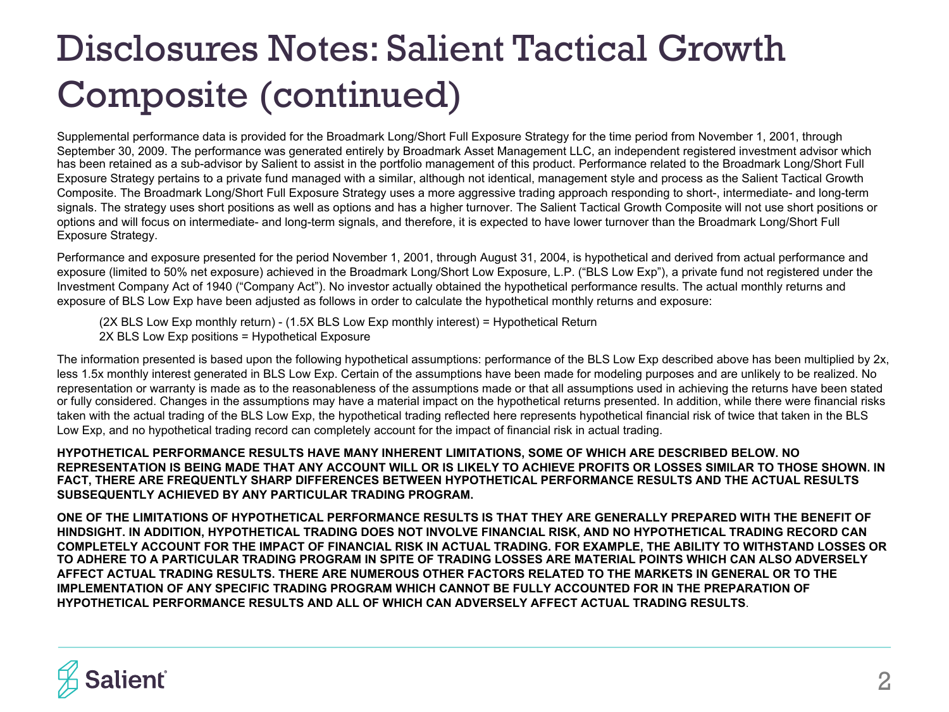Supplemental performance data is provided for the Broadmark Long/Short Full Exposure Strategy for the time period from November 1, 2001, through September 30, 2009. The performance was generated entirely by Broadmark Asset Management LLC, an independent registered investment advisor which has been retained as a sub-advisor by Salient to assist in the portfolio management of this product. Performance related to the Broadmark Long/Short Full Exposure Strategy pertains to a private fund managed with a similar, although not identical, management style and process as the Salient Tactical Growth Composite. The Broadmark Long/Short Full Exposure Strategy uses a more aggressive trading approach responding to short-, intermediate- and long-term signals. The strategy uses short positions as well as options and has a higher turnover. The Salient Tactical Growth Composite will not use short positions or options and will focus on intermediate- and long-term signals, and therefore, it is expected to have lower turnover than the Broadmark Long/Short Full Exposure Strategy.

Performance and exposure presented for the period November 1, 2001, through August 31, 2004, is hypothetical and derived from actual performance and exposure (limited to 50% net exposure) achieved in the Broadmark Long/Short Low Exposure, L.P. ("BLS Low Exp"), a private fund not registered under the Investment Company Act of 1940 ("Company Act"). No investor actually obtained the hypothetical performance results. The actual monthly returns and exposure of BLS Low Exp have been adjusted as follows in order to calculate the hypothetical monthly returns and exposure:

(2X BLS Low Exp monthly return) - (1.5X BLS Low Exp monthly interest) = Hypothetical Return 2X BLS Low Exp positions = Hypothetical Exposure

The information presented is based upon the following hypothetical assumptions: performance of the BLS Low Exp described above has been multiplied by 2x, less 1.5x monthly interest generated in BLS Low Exp. Certain of the assumptions have been made for modeling purposes and are unlikely to be realized. No representation or warranty is made as to the reasonableness of the assumptions made or that all assumptions used in achieving the returns have been stated or fully considered. Changes in the assumptions may have a material impact on the hypothetical returns presented. In addition, while there were financial risks taken with the actual trading of the BLS Low Exp, the hypothetical trading reflected here represents hypothetical financial risk of twice that taken in the BLS Low Exp, and no hypothetical trading record can completely account for the impact of financial risk in actual trading.

**HYPOTHETICAL PERFORMANCE RESULTS HAVE MANY INHERENT LIMITATIONS, SOME OF WHICH ARE DESCRIBED BELOW. NO REPRESENTATION IS BEING MADE THAT ANY ACCOUNT WILL OR IS LIKELY TO ACHIEVE PROFITS OR LOSSES SIMILAR TO THOSE SHOWN. IN FACT, THERE ARE FREQUENTLY SHARP DIFFERENCES BETWEEN HYPOTHETICAL PERFORMANCE RESULTS AND THE ACTUAL RESULTS SUBSEQUENTLY ACHIEVED BY ANY PARTICULAR TRADING PROGRAM.** 

**ONE OF THE LIMITATIONS OF HYPOTHETICAL PERFORMANCE RESULTS IS THAT THEY ARE GENERALLY PREPARED WITH THE BENEFIT OF HINDSIGHT. IN ADDITION, HYPOTHETICAL TRADING DOES NOT INVOLVE FINANCIAL RISK, AND NO HYPOTHETICAL TRADING RECORD CAN COMPLETELY ACCOUNT FOR THE IMPACT OF FINANCIAL RISK IN ACTUAL TRADING. FOR EXAMPLE, THE ABILITY TO WITHSTAND LOSSES OR TO ADHERE TO A PARTICULAR TRADING PROGRAM IN SPITE OF TRADING LOSSES ARE MATERIAL POINTS WHICH CAN ALSO ADVERSELY AFFECT ACTUAL TRADING RESULTS. THERE ARE NUMEROUS OTHER FACTORS RELATED TO THE MARKETS IN GENERAL OR TO THE IMPLEMENTATION OF ANY SPECIFIC TRADING PROGRAM WHICH CANNOT BE FULLY ACCOUNTED FOR IN THE PREPARATION OF HYPOTHETICAL PERFORMANCE RESULTS AND ALL OF WHICH CAN ADVERSELY AFFECT ACTUAL TRADING RESULTS**.

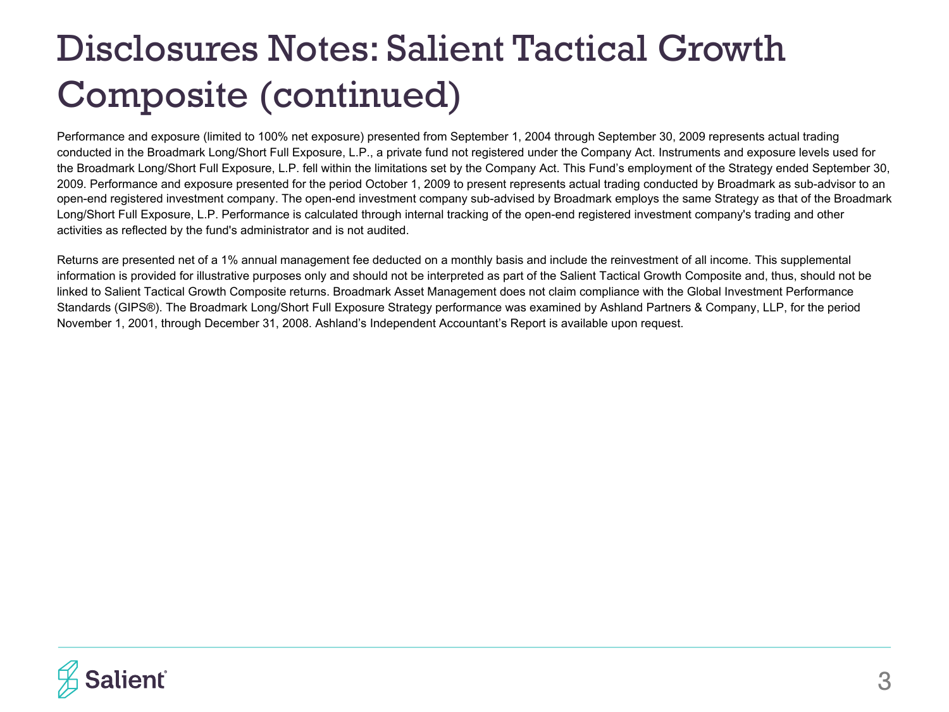Performance and exposure (limited to 100% net exposure) presented from September 1, 2004 through September 30, 2009 represents actual trading conducted in the Broadmark Long/Short Full Exposure, L.P., a private fund not registered under the Company Act. Instruments and exposure levels used for the Broadmark Long/Short Full Exposure, L.P. fell within the limitations set by the Company Act. This Fund's employment of the Strategy ended September 30, 2009. Performance and exposure presented for the period October 1, 2009 to present represents actual trading conducted by Broadmark as sub-advisor to an open-end registered investment company. The open-end investment company sub-advised by Broadmark employs the same Strategy as that of the Broadmark Long/Short Full Exposure, L.P. Performance is calculated through internal tracking of the open-end registered investment company's trading and other activities as reflected by the fund's administrator and is not audited.

Returns are presented net of a 1% annual management fee deducted on a monthly basis and include the reinvestment of all income. This supplemental information is provided for illustrative purposes only and should not be interpreted as part of the Salient Tactical Growth Composite and, thus, should not be linked to Salient Tactical Growth Composite returns. Broadmark Asset Management does not claim compliance with the Global Investment Performance Standards (GIPS®). The Broadmark Long/Short Full Exposure Strategy performance was examined by Ashland Partners & Company, LLP, for the period November 1, 2001, through December 31, 2008. Ashland's Independent Accountant's Report is available upon request.

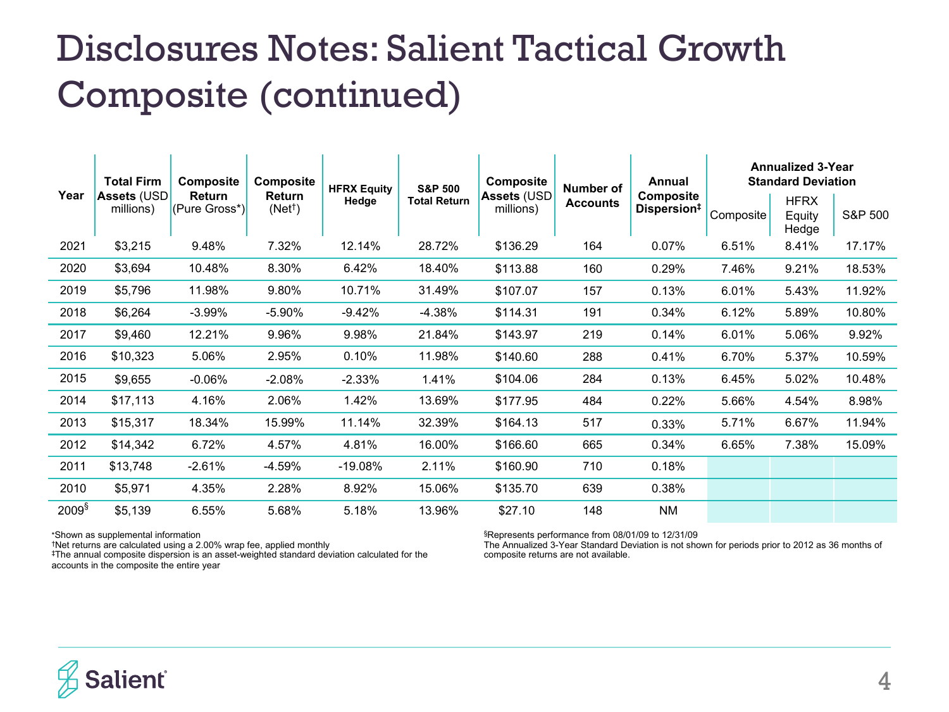| Year              | <b>Total Firm</b><br><b>Assets (USD</b><br>millions) | <b>Composite</b><br><b>Return</b><br>(Pure Gross*) | <b>Composite</b><br>Return<br>(Net <sup>†</sup> ) | <b>HFRX Equity</b><br>Hedge | <b>S&amp;P 500</b><br><b>Total Return</b> | <b>Composite</b><br><b>Assets (USD</b><br>millions) | Number of<br><b>Accounts</b> | Annual<br><b>Composite</b><br>Dispersion <sup>#</sup> | <b>Annualized 3-Year</b><br><b>Standard Deviation</b> |                                |         |
|-------------------|------------------------------------------------------|----------------------------------------------------|---------------------------------------------------|-----------------------------|-------------------------------------------|-----------------------------------------------------|------------------------------|-------------------------------------------------------|-------------------------------------------------------|--------------------------------|---------|
|                   |                                                      |                                                    |                                                   |                             |                                           |                                                     |                              |                                                       | Composite                                             | <b>HFRX</b><br>Equity<br>Hedge | S&P 500 |
| 2021              | \$3,215                                              | 9.48%                                              | 7.32%                                             | 12.14%                      | 28.72%                                    | \$136.29                                            | 164                          | 0.07%                                                 | 6.51%                                                 | 8.41%                          | 17.17%  |
| 2020              | \$3,694                                              | 10.48%                                             | 8.30%                                             | 6.42%                       | 18.40%                                    | \$113.88                                            | 160                          | 0.29%                                                 | 7.46%                                                 | 9.21%                          | 18.53%  |
| 2019              | \$5,796                                              | 11.98%                                             | 9.80%                                             | 10.71%                      | 31.49%                                    | \$107.07                                            | 157                          | 0.13%                                                 | 6.01%                                                 | 5.43%                          | 11.92%  |
| 2018              | \$6,264                                              | $-3.99%$                                           | $-5.90%$                                          | $-9.42%$                    | $-4.38%$                                  | \$114.31                                            | 191                          | 0.34%                                                 | 6.12%                                                 | 5.89%                          | 10.80%  |
| 2017              | \$9,460                                              | 12.21%                                             | 9.96%                                             | 9.98%                       | 21.84%                                    | \$143.97                                            | 219                          | 0.14%                                                 | 6.01%                                                 | 5.06%                          | 9.92%   |
| 2016              | \$10,323                                             | 5.06%                                              | 2.95%                                             | 0.10%                       | 11.98%                                    | \$140.60                                            | 288                          | 0.41%                                                 | 6.70%                                                 | 5.37%                          | 10.59%  |
| 2015              | \$9,655                                              | $-0.06\%$                                          | $-2.08%$                                          | $-2.33\%$                   | 1.41%                                     | \$104.06                                            | 284                          | 0.13%                                                 | 6.45%                                                 | 5.02%                          | 10.48%  |
| 2014              | \$17,113                                             | 4.16%                                              | 2.06%                                             | 1.42%                       | 13.69%                                    | \$177.95                                            | 484                          | 0.22%                                                 | 5.66%                                                 | 4.54%                          | 8.98%   |
| 2013              | \$15,317                                             | 18.34%                                             | 15.99%                                            | 11.14%                      | 32.39%                                    | \$164.13                                            | 517                          | 0.33%                                                 | 5.71%                                                 | 6.67%                          | 11.94%  |
| 2012              | \$14,342                                             | 6.72%                                              | 4.57%                                             | 4.81%                       | 16.00%                                    | \$166.60                                            | 665                          | 0.34%                                                 | 6.65%                                                 | 7.38%                          | 15.09%  |
| 2011              | \$13,748                                             | $-2.61%$                                           | -4.59%                                            | $-19.08%$                   | 2.11%                                     | \$160.90                                            | 710                          | 0.18%                                                 |                                                       |                                |         |
| 2010              | \$5,971                                              | 4.35%                                              | 2.28%                                             | 8.92%                       | 15.06%                                    | \$135.70                                            | 639                          | 0.38%                                                 |                                                       |                                |         |
| 2009 <sup>§</sup> | \$5,139                                              | 6.55%                                              | 5.68%                                             | 5.18%                       | 13.96%                                    | \$27.10                                             | 148                          | <b>NM</b>                                             |                                                       |                                |         |

\*Shown as supplemental information

†Net returns are calculated using a 2.00% wrap fee, applied monthly ‡The annual composite dispersion is an asset-weighted standard deviation calculated for the accounts in the composite the entire year

§Represents performance from 08/01/09 to 12/31/09

The Annualized 3-Year Standard Deviation is not shown for periods prior to 2012 as 36 months of composite returns are not available.